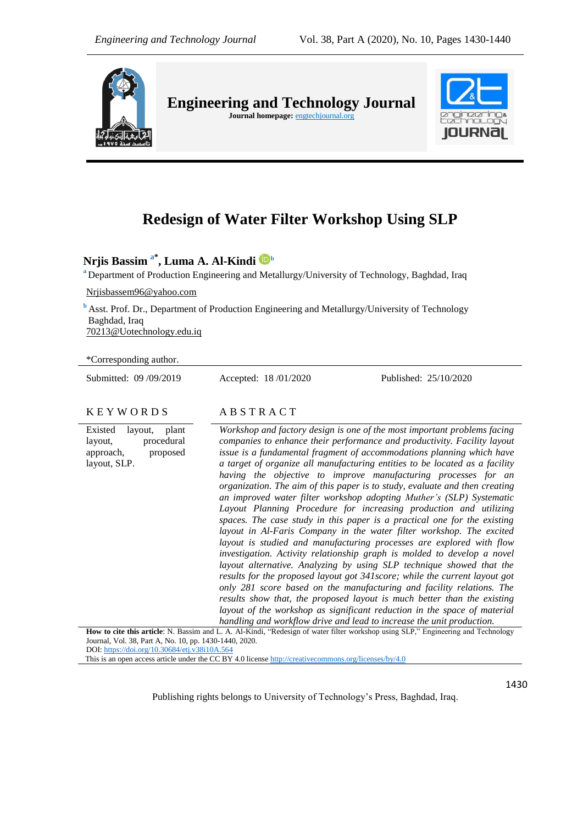

**Engineering and Technology Journal**  Journal homepage: **engtechjournal.org** 



# **Redesign of Water Filter Workshop Using SLP**

**Nrjis Bassim a\* , Luma A. Al-Kindi <sup>b</sup>**

**<sup>a</sup>** Department of Production Engineering and Metallurgy/University of Technology, Baghdad, Iraq

[Nrjisbassem96@yahoo.com](mailto:Nrjisbassem96@yahoo.com)

**b** Asst. Prof. Dr., Department of Production Engineering and Metallurgy/University of Technology Baghdad, Iraq [70213@Uotechnology.edu.iq](mailto:70213@Uotechnology.edu.iq)

\*Corresponding author.

Submitted: 09 /09/2019 Accepted: 18 /01/2020 Published: 25/10/2020

#### K E Y W O R D S A B S T R A C T

Existed layout, plant layout, procedural approach, proposed layout, SLP.

*Workshop and factory design is one of the most important problems facing companies to enhance their performance and productivity. Facility layout issue is a fundamental fragment of accommodations planning which have a target of organize all manufacturing entities to be located as a facility having the objective to improve manufacturing processes for an organization. The aim of this paper is to study, evaluate and then creating an improved water filter workshop adopting Muther's (SLP) Systematic Layout Planning Procedure for increasing production and utilizing spaces. The case study in this paper is a practical one for the existing layout in Al-Faris Company in the water filter workshop. The excited layout is studied and manufacturing processes are explored with flow investigation. Activity relationship graph is molded to develop a novel layout alternative. Analyzing by using SLP technique showed that the results for the proposed layout got 341score; while the current layout got only 281 score based on the manufacturing and facility relations. The results show that, the proposed layout is much better than the existing layout of the workshop as significant reduction in the space of material handling and workflow drive and lead to increase the unit production.*

**How to cite this article**: N. Bassim and L. A. Al-Kindi, "Redesign of water filter workshop using SLP," Engineering and Technology Journal, Vol. 38, Part A, No. 10, pp. 1430-1440, 2020. DOI: <https://doi.org/10.30684/etj.v38i10A.564>

This is an open access article under the CC BY 4.0 licens[e http://creativecommons.org/licenses/by/4.0](http://creativecommons.org/licenses/by/4.0)

Publishing rights belongs to University of Technology's Press, Baghdad, Iraq.

1430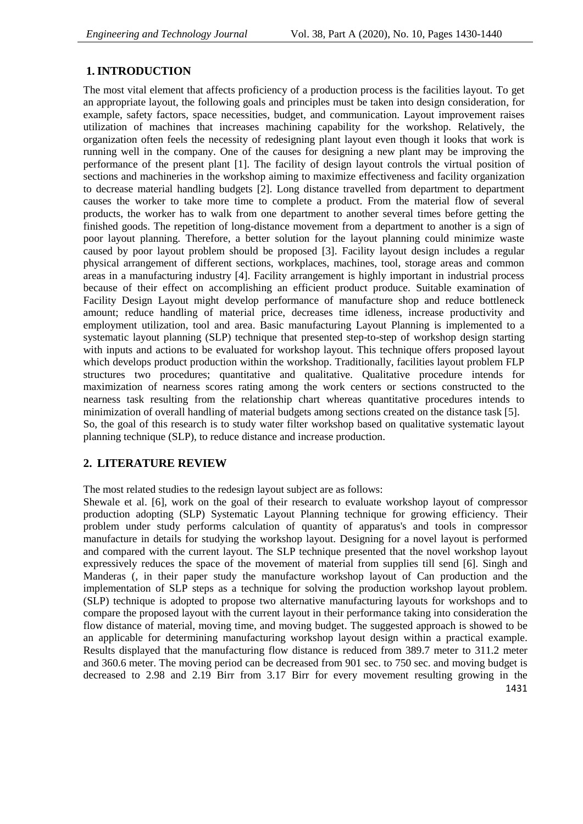## **1.INTRODUCTION**

The most vital element that affects proficiency of a production process is the facilities layout. To get an appropriate layout, the following goals and principles must be taken into design consideration, for example, safety factors, space necessities, budget, and communication. Layout improvement raises utilization of machines that increases machining capability for the workshop. Relatively, the organization often feels the necessity of redesigning plant layout even though it looks that work is running well in the company. One of the causes for designing a new plant may be improving the performance of the present plant [1]. The facility of design layout controls the virtual position of sections and machineries in the workshop aiming to maximize effectiveness and facility organization to decrease material handling budgets [2]. Long distance travelled from department to department causes the worker to take more time to complete a product. From the material flow of several products, the worker has to walk from one department to another several times before getting the finished goods. The repetition of long-distance movement from a department to another is a sign of poor layout planning. Therefore, a better solution for the layout planning could minimize waste caused by poor layout problem should be proposed [3]. Facility layout design includes a regular physical arrangement of different sections, workplaces, machines, tool, storage areas and common areas in a manufacturing industry [4]. Facility arrangement is highly important in industrial process because of their effect on accomplishing an efficient product produce. Suitable examination of Facility Design Layout might develop performance of manufacture shop and reduce bottleneck amount; reduce handling of material price, decreases time idleness, increase productivity and employment utilization, tool and area. Basic manufacturing Layout Planning is implemented to a systematic layout planning (SLP) technique that presented step-to-step of workshop design starting with inputs and actions to be evaluated for workshop layout. This technique offers proposed layout which develops product production within the workshop. Traditionally, facilities layout problem FLP structures two procedures; quantitative and qualitative. Qualitative procedure intends for maximization of nearness scores rating among the work centers or sections constructed to the nearness task resulting from the relationship chart whereas quantitative procedures intends to minimization of overall handling of material budgets among sections created on the distance task [5]. So, the goal of this research is to study water filter workshop based on qualitative systematic layout planning technique (SLP), to reduce distance and increase production.

## **2. LITERATURE REVIEW**

The most related studies to the redesign layout subject are as follows:

1431 Shewale et al. [6], work on the goal of their research to evaluate workshop layout of compressor production adopting (SLP) Systematic Layout Planning technique for growing efficiency. Their problem under study performs calculation of quantity of apparatus's and tools in compressor manufacture in details for studying the workshop layout. Designing for a novel layout is performed and compared with the current layout. The SLP technique presented that the novel workshop layout expressively reduces the space of the movement of material from supplies till send [6]. Singh and Manderas (, in their paper study the manufacture workshop layout of Can production and the implementation of SLP steps as a technique for solving the production workshop layout problem. (SLP) technique is adopted to propose two alternative manufacturing layouts for workshops and to compare the proposed layout with the current layout in their performance taking into consideration the flow distance of material, moving time, and moving budget. The suggested approach is showed to be an applicable for determining manufacturing workshop layout design within a practical example. Results displayed that the manufacturing flow distance is reduced from 389.7 meter to 311.2 meter and 360.6 meter. The moving period can be decreased from 901 sec. to 750 sec. and moving budget is decreased to 2.98 and 2.19 Birr from 3.17 Birr for every movement resulting growing in the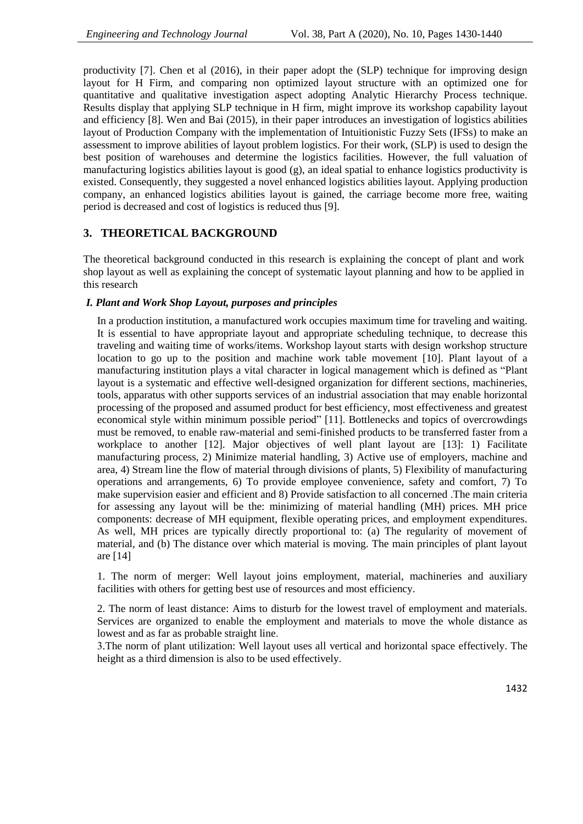productivity [7]. Chen et al (2016), in their paper adopt the (SLP) technique for improving design layout for H Firm, and comparing non optimized layout structure with an optimized one for quantitative and qualitative investigation aspect adopting Analytic Hierarchy Process technique. Results display that applying SLP technique in H firm, might improve its workshop capability layout and efficiency [8]. Wen and Bai (2015), in their paper introduces an investigation of logistics abilities layout of Production Company with the implementation of Intuitionistic Fuzzy Sets (IFSs) to make an assessment to improve abilities of layout problem logistics. For their work, (SLP) is used to design the best position of warehouses and determine the logistics facilities. However, the full valuation of manufacturing logistics abilities layout is good (g), an ideal spatial to enhance logistics productivity is existed. Consequently, they suggested a novel enhanced logistics abilities layout. Applying production company, an enhanced logistics abilities layout is gained, the carriage become more free, waiting period is decreased and cost of logistics is reduced thus [9].

## **3. THEORETICAL BACKGROUND**

The theoretical background conducted in this research is explaining the concept of plant and work shop layout as well as explaining the concept of systematic layout planning and how to be applied in this research

#### *I. Plant and Work Shop Layout, purposes and principles*

In a production institution, a manufactured work occupies maximum time for traveling and waiting. It is essential to have appropriate layout and appropriate scheduling technique, to decrease this traveling and waiting time of works/items. Workshop layout starts with design workshop structure location to go up to the position and machine work table movement [10]. Plant layout of a manufacturing institution plays a vital character in logical management which is defined as "Plant layout is a systematic and effective well-designed organization for different sections, machineries, tools, apparatus with other supports services of an industrial association that may enable horizontal processing of the proposed and assumed product for best efficiency, most effectiveness and greatest economical style within minimum possible period" [11]. Bottlenecks and topics of overcrowdings must be removed, to enable raw-material and semi-finished products to be transferred faster from a workplace to another [12]. Major objectives of well plant layout are [13]: 1) Facilitate manufacturing process, 2) Minimize material handling, 3) Active use of employers, machine and area, 4) Stream line the flow of material through divisions of plants, 5) Flexibility of manufacturing operations and arrangements, 6) To provide employee convenience, safety and comfort, 7) To make supervision easier and efficient and 8) Provide satisfaction to all concerned .The main criteria for assessing any layout will be the: minimizing of material handling (MH) prices. MH price components: decrease of MH equipment, flexible operating prices, and employment expenditures. As well, MH prices are typically directly proportional to: (a) The regularity of movement of material, and (b) The distance over which material is moving. The main principles of plant layout are [14]

1. The norm of merger: Well layout joins employment, material, machineries and auxiliary facilities with others for getting best use of resources and most efficiency.

2. The norm of least distance: Aims to disturb for the lowest travel of employment and materials. Services are organized to enable the employment and materials to move the whole distance as lowest and as far as probable straight line.

3.The norm of plant utilization: Well layout uses all vertical and horizontal space effectively. The height as a third dimension is also to be used effectively.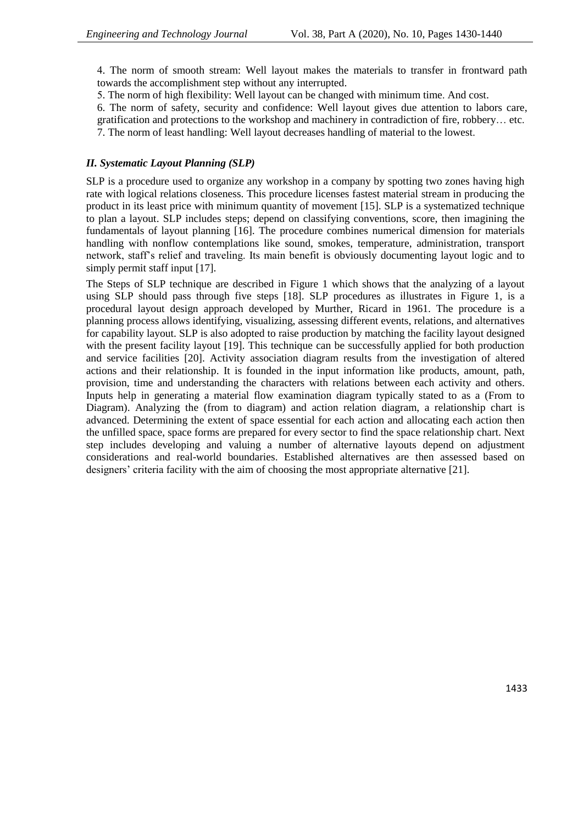4. The norm of smooth stream: Well layout makes the materials to transfer in frontward path towards the accomplishment step without any interrupted.

5. The norm of high flexibility: Well layout can be changed with minimum time. And cost.

6. The norm of safety, security and confidence: Well layout gives due attention to labors care,

gratification and protections to the workshop and machinery in contradiction of fire, robbery… etc.

7. The norm of least handling: Well layout decreases handling of material to the lowest.

#### *II. Systematic Layout Planning (SLP)*

SLP is a procedure used to organize any workshop in a company by spotting two zones having high rate with logical relations closeness. This procedure licenses fastest material stream in producing the product in its least price with minimum quantity of movement [15]. SLP is a systematized technique to plan a layout. SLP includes steps; depend on classifying conventions, score, then imagining the fundamentals of layout planning [16]. The procedure combines numerical dimension for materials handling with nonflow contemplations like sound, smokes, temperature, administration, transport network, staff's relief and traveling. Its main benefit is obviously documenting layout logic and to simply permit staff input [17].

The Steps of SLP technique are described in Figure 1 which shows that the analyzing of a layout using SLP should pass through five steps [18]. SLP procedures as illustrates in Figure 1, is a procedural layout design approach developed by Murther, Ricard in 1961. The procedure is a planning process allows identifying, visualizing, assessing different events, relations, and alternatives for capability layout. SLP is also adopted to raise production by matching the facility layout designed with the present facility layout [19]. This technique can be successfully applied for both production and service facilities [20]. Activity association diagram results from the investigation of altered actions and their relationship. It is founded in the input information like products, amount, path, provision, time and understanding the characters with relations between each activity and others. Inputs help in generating a material flow examination diagram typically stated to as a (From to Diagram). Analyzing the (from to diagram) and action relation diagram, a relationship chart is advanced. Determining the extent of space essential for each action and allocating each action then the unfilled space, space forms are prepared for every sector to find the space relationship chart. Next step includes developing and valuing a number of alternative layouts depend on adjustment considerations and real-world boundaries. Established alternatives are then assessed based on designers' criteria facility with the aim of choosing the most appropriate alternative [21].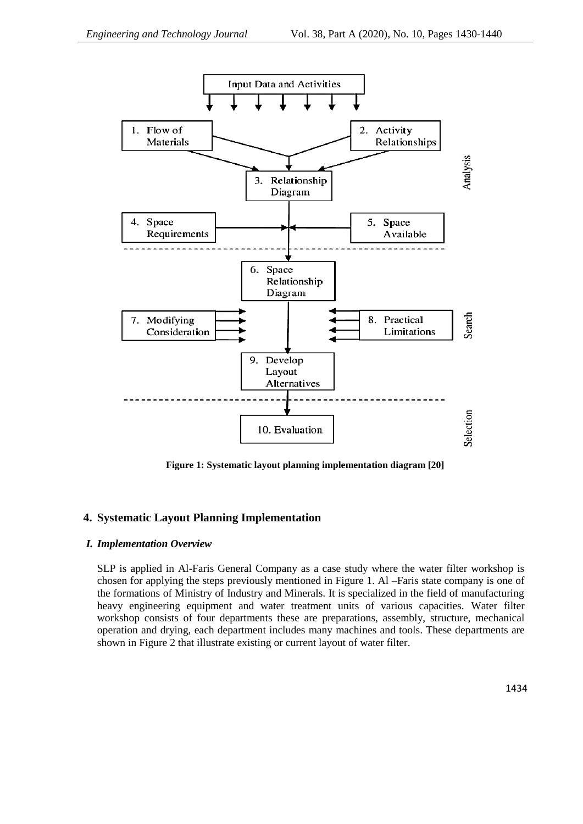

**Figure 1: Systematic layout planning implementation diagram [20]**

## **4. Systematic Layout Planning Implementation**

#### *I. Implementation Overview*

SLP is applied in Al-Faris General Company as a case study where the water filter workshop is chosen for applying the steps previously mentioned in Figure 1. Al –Faris state company is one of the formations of Ministry of Industry and Minerals. It is specialized in the field of manufacturing heavy engineering equipment and water treatment units of various capacities. Water filter workshop consists of four departments these are preparations, assembly, structure, mechanical operation and drying, each department includes many machines and tools. These departments are shown in Figure 2 that illustrate existing or current layout of water filter.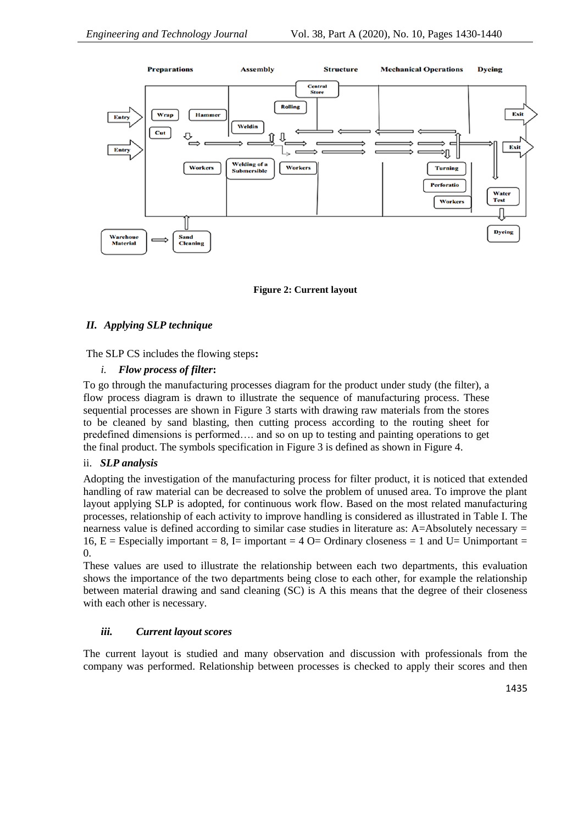

**Figure 2: Current layout**

## *II. Applying SLP technique*

The SLP CS includes the flowing steps**:**

## *i. Flow process of filter***:**

To go through the manufacturing processes diagram for the product under study (the filter), a flow process diagram is drawn to illustrate the sequence of manufacturing process. These sequential processes are shown in Figure 3 starts with drawing raw materials from the stores to be cleaned by sand blasting, then cutting process according to the routing sheet for predefined dimensions is performed…. and so on up to testing and painting operations to get the final product. The symbols specification in Figure 3 is defined as shown in Figure 4.

#### ii. *SLP analysis*

Adopting the investigation of the manufacturing process for filter product, it is noticed that extended handling of raw material can be decreased to solve the problem of unused area. To improve the plant layout applying SLP is adopted, for continuous work flow. Based on the most related manufacturing processes, relationship of each activity to improve handling is considered as illustrated in Table I. The nearness value is defined according to similar case studies in literature as: A=Absolutely necessary = 16,  $E =$  Especially important = 8, I= important = 4 O= Ordinary closeness = 1 and U= Unimportant = 0.

These values are used to illustrate the relationship between each two departments, this evaluation shows the importance of the two departments being close to each other, for example the relationship between material drawing and sand cleaning (SC) is A this means that the degree of their closeness with each other is necessary.

## *iii. Current layout scores*

The current layout is studied and many observation and discussion with professionals from the company was performed. Relationship between processes is checked to apply their scores and then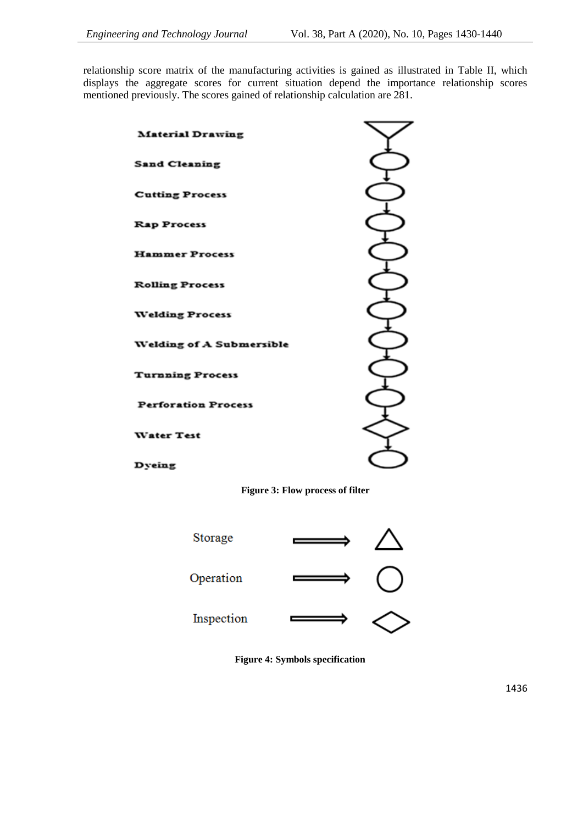relationship score matrix of the manufacturing activities is gained as illustrated in Table II, which displays the aggregate scores for current situation depend the importance relationship scores mentioned previously. The scores gained of relationship calculation are 281.

| <b>Material Drawing</b>         |  |
|---------------------------------|--|
| <b>Sand Cleaning</b>            |  |
| <b>Cutting Process</b>          |  |
| <b>Rap Process</b>              |  |
| <b>Hammer Process</b>           |  |
| <b>Rolling Process</b>          |  |
| <b>Welding Process</b>          |  |
| <b>Welding of A Submersible</b> |  |
| <b>Turnning Process</b>         |  |
| <b>Perforation Process</b>      |  |
| <b>Water Test</b>               |  |
| Dyeing                          |  |

**Figure 3: Flow process of filter**



**Figure 4: Symbols specification**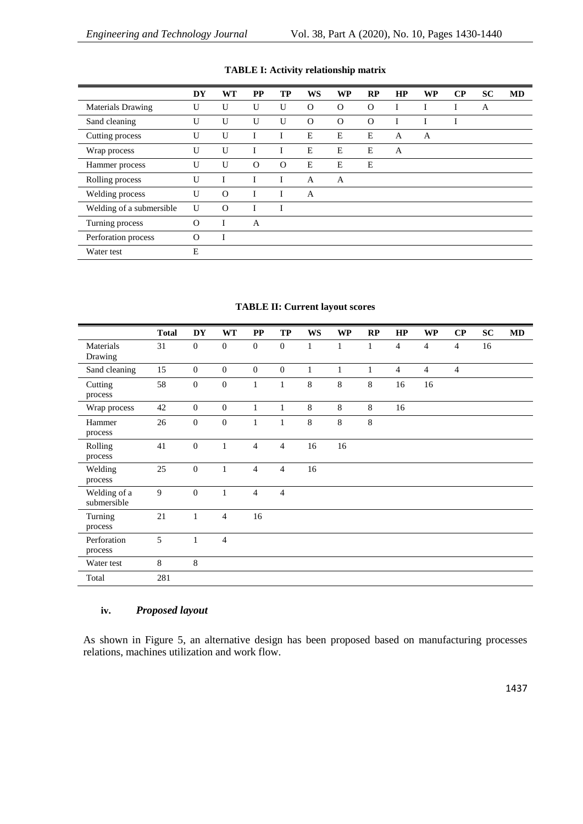|                          | DY       | <b>WT</b> | <b>PP</b> | TP       | <b>WS</b> | <b>WP</b> | RP       | HP | <b>WP</b> | $\bf CP$ | <b>SC</b> | <b>MD</b> |
|--------------------------|----------|-----------|-----------|----------|-----------|-----------|----------|----|-----------|----------|-----------|-----------|
| <b>Materials Drawing</b> | U        | U         | U         | U        | $\Omega$  | $\Omega$  | $\Omega$ | I  |           |          | A         |           |
| Sand cleaning            | U        | U         | U         | U        | $\Omega$  | $\Omega$  | $\Omega$ |    |           |          |           |           |
| Cutting process          | U        | U         |           |          | E         | E         | Е        | A  | A         |          |           |           |
| Wrap process             | U        | U         | I         |          | E         | Е         | Ε        | A  |           |          |           |           |
| Hammer process           | U        | U         | $\Omega$  | $\Omega$ | E         | Е         | E        |    |           |          |           |           |
| Rolling process          | U        |           | I         |          | A         | A         |          |    |           |          |           |           |
| Welding process          | U        | $\Omega$  |           |          | A         |           |          |    |           |          |           |           |
| Welding of a submersible | U        | $\Omega$  |           |          |           |           |          |    |           |          |           |           |
| Turning process          | $\Omega$ |           | A         |          |           |           |          |    |           |          |           |           |
| Perforation process      | $\Omega$ | I         |           |          |           |           |          |    |           |          |           |           |
| Water test               | E        |           |           |          |           |           |          |    |           |          |           |           |

## **TABLE I: Activity relationship matrix**

### **TABLE II: Current layout scores**

|                             | <b>Total</b> | <b>DY</b>        | <b>WT</b>        | $\bf PP$         | TP               | <b>WS</b>    | <b>WP</b>    | RP           | HP             | <b>WP</b>      | $\bf CP$       | SC | MD |
|-----------------------------|--------------|------------------|------------------|------------------|------------------|--------------|--------------|--------------|----------------|----------------|----------------|----|----|
| Materials<br>Drawing        | 31           | $\mathbf{0}$     | $\boldsymbol{0}$ | $\mathbf{0}$     | $\mathbf{0}$     | 1            | $\mathbf{1}$ | 1            | $\overline{4}$ | $\overline{4}$ | $\overline{4}$ | 16 |    |
| Sand cleaning               | 15           | $\boldsymbol{0}$ | $\boldsymbol{0}$ | $\boldsymbol{0}$ | $\boldsymbol{0}$ | $\mathbf{1}$ | $\mathbf{1}$ | $\mathbf{1}$ | $\overline{4}$ | $\overline{4}$ | $\overline{4}$ |    |    |
| Cutting<br>process          | 58           | $\boldsymbol{0}$ | $\boldsymbol{0}$ | $\mathbf{1}$     | $\mathbf{1}$     | 8            | 8            | $\,8\,$      | 16             | 16             |                |    |    |
| Wrap process                | 42           | $\boldsymbol{0}$ | $\boldsymbol{0}$ | $\mathbf{1}$     | $\mathbf{1}$     | $\,8\,$      | 8            | $\,8\,$      | 16             |                |                |    |    |
| Hammer<br>process           | 26           | $\mathbf{0}$     | $\boldsymbol{0}$ | $\mathbf{1}$     | $\mathbf{1}$     | 8            | 8            | $\,8\,$      |                |                |                |    |    |
| Rolling<br>process          | 41           | $\mathbf{0}$     | $\mathbf{1}$     | $\overline{4}$   | $\overline{4}$   | 16           | 16           |              |                |                |                |    |    |
| Welding<br>process          | $25\,$       | $\boldsymbol{0}$ | $\mathbf{1}$     | $\overline{4}$   | $\overline{4}$   | 16           |              |              |                |                |                |    |    |
| Welding of a<br>submersible | 9            | $\boldsymbol{0}$ | 1                | $\overline{4}$   | $\overline{4}$   |              |              |              |                |                |                |    |    |
| Turning<br>process          | 21           | $\mathbf{1}$     | $\overline{4}$   | 16               |                  |              |              |              |                |                |                |    |    |
| Perforation<br>process      | 5            | $\mathbf{1}$     | $\overline{4}$   |                  |                  |              |              |              |                |                |                |    |    |
| Water test                  | $\,8\,$      | $\,8\,$          |                  |                  |                  |              |              |              |                |                |                |    |    |
| Total                       | 281          |                  |                  |                  |                  |              |              |              |                |                |                |    |    |

## **iv.** *Proposed layout*

As shown in Figure 5, an alternative design has been proposed based on manufacturing processes relations, machines utilization and work flow.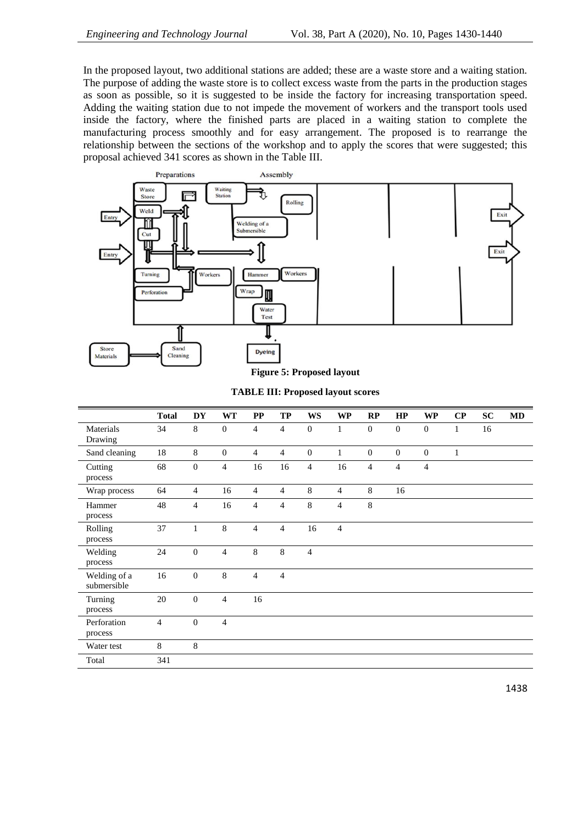In the proposed layout, two additional stations are added; these are a waste store and a waiting station. The purpose of adding the waste store is to collect excess waste from the parts in the production stages as soon as possible, so it is suggested to be inside the factory for increasing transportation speed. Adding the waiting station due to not impede the movement of workers and the transport tools used inside the factory, where the finished parts are placed in a waiting station to complete the manufacturing process smoothly and for easy arrangement. The proposed is to rearrange the relationship between the sections of the workshop and to apply the scores that were suggested; this proposal achieved 341 scores as shown in the Table III.



**Figure 5: Proposed layout**

|                             | <b>Total</b>   | <b>DY</b>        | <b>WT</b>      | PP             | <b>TP</b>      | <b>WS</b>        | <b>WP</b>      | RP               | HP               | <b>WP</b>                | $\bf CP$     | SC | <b>MD</b> |
|-----------------------------|----------------|------------------|----------------|----------------|----------------|------------------|----------------|------------------|------------------|--------------------------|--------------|----|-----------|
| Materials<br>Drawing        | 34             | 8                | $\mathbf{0}$   | $\overline{4}$ | $\overline{4}$ | $\boldsymbol{0}$ | $\mathbf{1}$   | $\boldsymbol{0}$ | $\boldsymbol{0}$ | $\boldsymbol{0}$         | $\mathbf{1}$ | 16 |           |
| Sand cleaning               | 18             | 8                | $\mathbf{0}$   | $\overline{4}$ | $\overline{4}$ | $\mathbf{0}$     | $\mathbf{1}$   | $\boldsymbol{0}$ | $\overline{0}$   | $\mathbf{0}$             | $\mathbf{1}$ |    |           |
| Cutting<br>process          | 68             | $\mathbf{0}$     | $\overline{4}$ | 16             | 16             | $\overline{4}$   | 16             | $\overline{4}$   | $\overline{4}$   | $\overline{\mathcal{L}}$ |              |    |           |
| Wrap process                | 64             | $\overline{4}$   | 16             | $\overline{4}$ | $\overline{4}$ | 8                | $\overline{4}$ | 8                | 16               |                          |              |    |           |
| Hammer<br>process           | 48             | $\overline{4}$   | 16             | $\overline{4}$ | $\overline{4}$ | $\,8\,$          | $\overline{4}$ | $\,8\,$          |                  |                          |              |    |           |
| Rolling<br>process          | 37             | $\mathbf{1}$     | 8              | $\overline{4}$ | $\overline{4}$ | 16               | $\overline{4}$ |                  |                  |                          |              |    |           |
| Welding<br>process          | 24             | $\boldsymbol{0}$ | $\overline{4}$ | $\,8\,$        | $8\,$          | $\overline{4}$   |                |                  |                  |                          |              |    |           |
| Welding of a<br>submersible | 16             | $\mathbf{0}$     | 8              | $\overline{4}$ | $\overline{4}$ |                  |                |                  |                  |                          |              |    |           |
| Turning<br>process          | 20             | $\boldsymbol{0}$ | $\overline{4}$ | 16             |                |                  |                |                  |                  |                          |              |    |           |
| Perforation<br>process      | $\overline{4}$ | $\boldsymbol{0}$ | $\overline{4}$ |                |                |                  |                |                  |                  |                          |              |    |           |
| Water test                  | 8              | 8                |                |                |                |                  |                |                  |                  |                          |              |    |           |
| Total                       | 341            |                  |                |                |                |                  |                |                  |                  |                          |              |    |           |

#### **TABLE III: Proposed layout scores**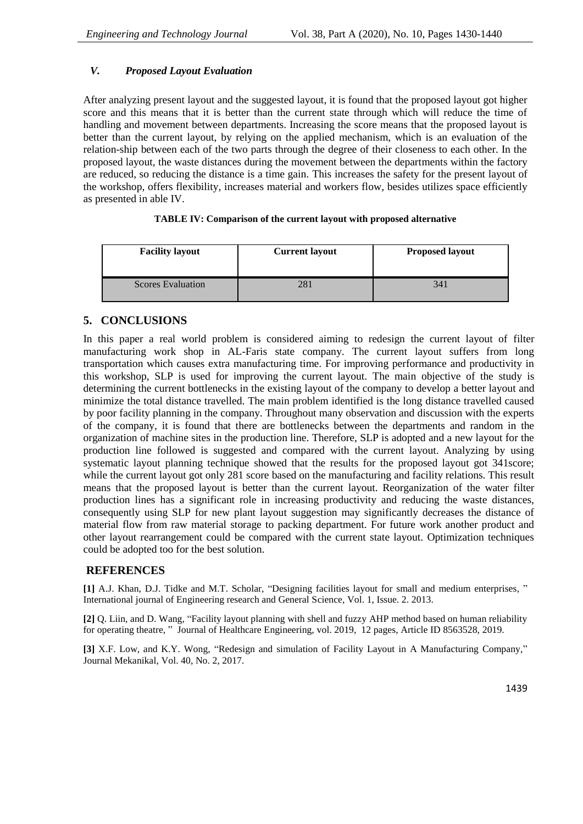## *V. Proposed Layout Evaluation*

After analyzing present layout and the suggested layout, it is found that the proposed layout got higher score and this means that it is better than the current state through which will reduce the time of handling and movement between departments. Increasing the score means that the proposed layout is better than the current layout, by relying on the applied mechanism, which is an evaluation of the relation-ship between each of the two parts through the degree of their closeness to each other. In the proposed layout, the waste distances during the movement between the departments within the factory are reduced, so reducing the distance is a time gain. This increases the safety for the present layout of the workshop, offers flexibility, increases material and workers flow, besides utilizes space efficiently as presented in able IV.

### **TABLE IV: Comparison of the current layout with proposed alternative**

| <b>Facility layout</b>   | <b>Current layout</b> | <b>Proposed layout</b> |
|--------------------------|-----------------------|------------------------|
| <b>Scores Evaluation</b> | 40.                   | 341                    |

## **5. CONCLUSIONS**

In this paper a real world problem is considered aiming to redesign the current layout of filter manufacturing work shop in AL-Faris state company. The current layout suffers from long transportation which causes extra manufacturing time. For improving performance and productivity in this workshop, SLP is used for improving the current layout. The main objective of the study is determining the current bottlenecks in the existing layout of the company to develop a better layout and minimize the total distance travelled. The main problem identified is the long distance travelled caused by poor facility planning in the company. Throughout many observation and discussion with the experts of the company, it is found that there are bottlenecks between the departments and random in the organization of machine sites in the production line. Therefore, SLP is adopted and a new layout for the production line followed is suggested and compared with the current layout. Analyzing by using systematic layout planning technique showed that the results for the proposed layout got 341score; while the current layout got only 281 score based on the manufacturing and facility relations. This result means that the proposed layout is better than the current layout. Reorganization of the water filter production lines has a significant role in increasing productivity and reducing the waste distances, consequently using SLP for new plant layout suggestion may significantly decreases the distance of material flow from raw material storage to packing department. For future work another product and other layout rearrangement could be compared with the current state layout. Optimization techniques could be adopted too for the best solution.

## **REFERENCES**

**[1]** A.J. Khan, D.J. Tidke and M.T. Scholar, "Designing facilities layout for small and medium enterprises, " International journal of Engineering research and General Science, Vol. 1, Issue. 2. 2013.

**[2]** Q. Liin, and D. Wang, "Facility layout planning with shell and fuzzy AHP method based on human reliability for operating theatre, " Journal of Healthcare Engineering, vol. 2019, 12 pages, Article ID 8563528, 2019.

**[3]** X.F. Low, and K.Y. Wong, "Redesign and simulation of Facility Layout in A Manufacturing Company," Journal Mekanikal, Vol. 40, No. 2, 2017.